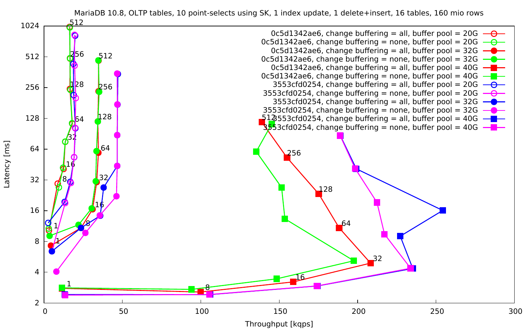

Throughput [kqps]

Latency [ms] Latency [ms]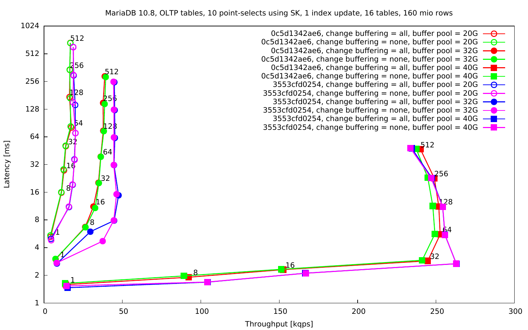MariaDB 10.8, OLTP tables, 10 point-selects using SK, 1 index update, 16 tables, 160 mio rows



Latency [ms] Latency [ms]